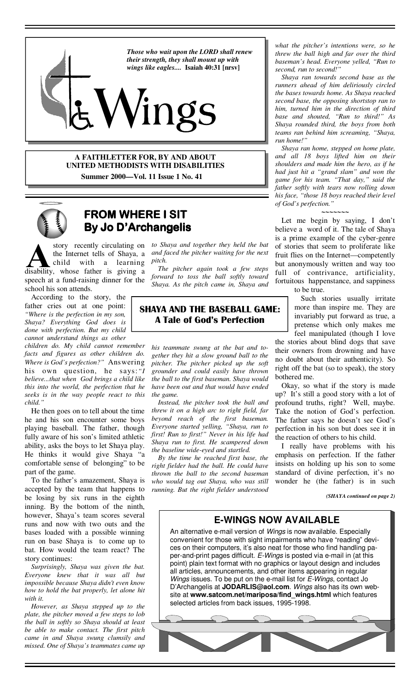*Those who wait upon the LORD shall renew their strength, they shall mount up with wings like eagles....* **Isaiah 40:31 [nrsv]**  Wings

> **A FAITHLETTER FOR, BY AND ABOUT UNITED METHODISTS WITH DISABILITIES Summer 2000—Vol. 11 Issue 1 No. 41**

# **FROM WHERE I SIT By Jo D'Archangelis By Jo D'Archangelis**

story recently circulating on the Internet tells of Shaya, a child with a learning disability, whose father is giving a speech at a fund-raising dinner for the school his son attends.

 According to the story, the father cries out at one point: *"Where is the perfection in my son, Shaya? Everything God does is done with perfection. But my child cannot understand things as other* 

*children do. My child cannot remember facts and figures as other children do. Where is God's perfection?"* Answering his own question, he says:*"I believe...that when God brings a child like this into the world, the perfection that he seeks is in the way people react to this child."* 

 He then goes on to tell about the time he and his son encounter some boys playing baseball. The father, though fully aware of his son's limited athletic ability, asks the boys to let Shaya play. He thinks it would give Shaya "a comfortable sense of belonging" to be part of the game.

 To the father's amazement, Shaya is accepted by the team that happens to be losing by six runs in the eighth inning. By the bottom of the ninth, however, Shaya's team scores several runs and now with two outs and the bases loaded with a possible winning run on base Shaya is to come up to bat. How would the team react? The story continues:

 *Surprisingly, Shaya was given the bat. Everyone knew that it was all but impossible because Shaya didn't even know how to hold the bat properly, let alone hit with it.* 

 *However, as Shaya stepped up to the plate, the pitcher moved a few steps to lob the ball in softly so Shaya should at least be able to make contact. The first pitch came in and Shaya swung clumsily and missed. One of Shaya's teammates came up* 

*to Shaya and together they held the bat and faced the pitcher waiting for the next pitch.* 

 *The pitcher again took a few steps forward to toss the ball softly toward Shaya. As the pitch came in, Shaya and* 

# **SHAYA AND THE BASEBALL GAME: A Tale of God's Perfection**

*his teammate swung at the bat and together they hit a slow ground ball to the pitcher. The pitcher picked up the soft grounder and could easily have thrown the ball to the first baseman. Shaya would have been out and that would have ended the game.* 

 *Instead, the pitcher took the ball and threw it on a high arc to right field, far beyond reach of the first baseman. Everyone started yelling, "Shaya, run to first! Run to first!" Never in his life had Shaya run to first. He scampered down the baseline wide-eyed and startled.* 

 *By the time he reached first base, the right fielder had the ball. He could have thrown the ball to the second baseman who would tag out Shaya, who was still running. But the right fielder understood* 

*what the pitcher's intentions were, so he threw the ball high and far over the third baseman's head. Everyone yelled, "Run to second, run to second!"* 

 *Shaya ran towards second base as the runners ahead of him deliriously circled the bases towards home. As Shaya reached second base, the opposing shortstop ran to him, turned him in the direction of third base and shouted, "Run to third!" As Shaya rounded third, the boys from both teams ran behind him screaming, "Shaya, run home!"* 

 *Shaya ran home, stepped on home plate, and all 18 boys lifted him on their shoulders and made him the hero, as if he had just hit a "grand slam" and won the game for his team. "That day," said the father softly with tears now rolling down his face, "those 18 boys reached their level of God's perfection."* 

**~~~~~~~**

 Let me begin by saying, I don't believe a word of it. The tale of Shaya is a prime example of the cyber-genre of stories that seem to proliferate like fruit flies on the Internet—competently but anonymously written and way too full of contrivance, artificiality, fortuitous happenstance, and sappiness to be true.

> Such stories usually irritate more than inspire me. They are invariably put forward as true, a pretense which only makes me feel manipulated (though I love

the stories about blind dogs that save their owners from drowning and have no doubt about their authenticity). So right off the bat (so to speak), the story bothered me.

 Okay, so what if the story is made up? It's still a good story with a lot of profound truths, right? Well, maybe. Take the notion of God's perfection. The father says he doesn't see God's perfection in his son but does see it in the reaction of others to his child.

 I really have problems with his emphasis on perfection. If the father insists on holding up his son to some standard of divine perfection, it's no wonder he (the father) is in such

*(SHAYA continued on page 2)* 

# **E-WINGS NOW AVAILABLE**

An alternative e-mail version of Wings is now available. Especially convenient for those with sight impairments who have "reading" devices on their computers, it's also neat for those who find handling paper-and-print pages difficult. E-Wings is posted via e-mail in (at this point) plain text format with no graphics or layout design and includes all articles, announcements, and other items appearing in regular Wings issues. To be put on the e-mail list for E-Wings, contact Jo D'Archangelis at **JODARLIS@aol.com**. Wings also has its own website at **www.satcom.net/mariposa/find\_wings.html** which features selected articles from back issues, 1995-1998.

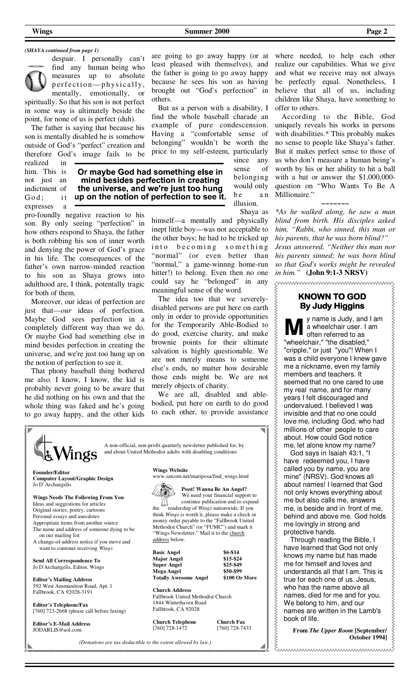*(SHAYA continued from page 1)* 



despair. I personally can't find any human being who measures up to absolute perfection-physically,

in some way is ultimately beside the point, for none of us is perfect (duh).

son is mentally disabled he is somehow

realized in him. This is not just an indictment of  $God:$  it expresses a

mentally, emotionally, or spiritually. So that his son is not perfect

 The father is saying that because his outside of God's "perfect" creation and therefore God's image fails to be

are going to go away happy (or at least pleased with themselves), and the father is going to go away happy because he sees his son as having brought out "God's perfection" in others.

 But as a person with a disability, I find the whole baseball charade an example of pure condescension. Having a "comfortable sense of belonging" wouldn't be worth the price to my self-esteem, particularly since any

> sense of belonging would only

### Or maybe God had something else in mind besides perfection in creating the universe, and we're just too hung up on the notion of perfection to see it.

pro-foundly negative reaction to his son. By only seeing "perfection" in how others respond to Shaya, the father is both robbing his son of inner worth and denying the power of God's grace in his life. The consequences of the father's own narrow-minded reaction to his son as Shaya grows into adulthood are, I think, potentally tragic for both of them.

 Moreover, our ideas of perfection are just that—*our* ideas of perfection. Maybe God sees perfection in a completely different way than we do. Or maybe God had something else in mind besides perfection in creating the universe, and we're just too hung up on the notion of perfection to see it.

 That phony baseball thing bothered me also. I know, I know, the kid is probably never going to be aware that he did nothing on his own and that the whole thing was faked and he's going to go away happy, and the other kids

**Editor's E-Mail Address** JODARLIS@aol.com

be an illusion. Shaya as himself—a mentally and physically inept little boy—was not acceptable to the other boys; he had to be tricked up into becoming something "normal" (or even better than "normal," a game-winnng home-run hitter!) to belong. Even then no one could say he "belonged" in any

meaningful sense of the word. The idea too that we severelydisabled persons are put here on earth only in order to provide opportunities for the Temporarily Able-Bodied to do good, exercise charity, and make brownie points for their ultimate salvation is highly questionable. We are not merely means to someone else's ends, no matter how desirable those ends might be. We are not merely objects of charity.

 We are all, disabled and ablebodied, put here on earth to do good to each other, to provide assistance

 A non-official, non-profit quarterly newsletter published for, by and about United Methodist adults with disabling conditions √ings **Wings Website Founder/Editor**  www.satcom.net/mariposa/find\_wings.html **Computer Layout/Graphic Design**  Jo D'Archangelis  **Pssst! Wanna Be An Angel?**  45 We need your financial support to **Wings Needs The Following From You**  We need your financial support to<br>continue publication and to expand<br>the readership of *Wings* nationwide. If you Ideas and suggestions for articles readership of *Wings* nationwide. If you Original stories, poetry, cartoons think *Wings* is worth it, please make a check or Personal essays and anecdotes money order payable to the "Fallbrook United Appropriate items from another source Methodist Church" (or "FUMC") and mark it The name and address of someone dying to be "Wings Newsletter." Mail it to the church on our mailing list address below. A change-of-address notice if you move and want to continue receiving *Wings* **Basic Angel \$6-\$14 Major Angel \$15-\$24 Send All Correspondence To Super Angel \$25-\$49**  Jo D'Archangelis, Editor, Wings **Mega Angel Totally Awesome Angel \$100 Or More Editor's Mailing Address**  592 West Ammunition Road, Apt. 1 **Church Address**  Fallbrook, CA 92028-3191 Fallbrook United Methodist Church 1844 Winterhaven Road **Editor's Telephone/Fax**  Fallbrook, CA 92028 [760] 723-2668 (please call before faxing)

**Church Telephone Church Fax** [760] 728-1472 [760] 728-7433

*(Donations are tax-deductible to the extent allowed by law.)*

where needed, to help each other realize our capabilities. What we give and what we receive may not always be perfectly equal. Nonetheless, I believe that all of us, including children like Shaya, have something to offer to others.

 According to the Bible, God uniquely reveals his works in persons with disabilities.\* This probably makes no sense to people like Shaya's father. But it makes perfect sense to those of us who don't measure a human being's worth by his or her ability to hit a ball with a bat or answer the \$1,000,000 question on "Who Wants To Be A Millionaire."

*\*As he walked along, he saw a man blind from birth. His disciples asked him, "Rabbi, who sinned, this man or his parents, that he was born blind?" Jesus answered, "Neither this man nor his parents sinned; he was born blind so that God's works might be revealed in him."* **(John 9:1-3 NRSV)**

**~~~~~~~** 

## **KNOWN TO GOD By Judy Higgins**

y name is Judy, and I am a wheelchair user. I am often referred to as "wheelchair," "the disabled," "cripple," or just "you"! When I was a child everyone I knew gave me a nickname, even my family members and teachers. It seemed that no one cared to use my real name, and for many years I felt discouraged and undervalued. I believed I was invisible and that no one could love me, including God, who had millions of other people to care about. How could God notice me, let alone know my name?

 God says in Isaiah 43:1, "I have redeemed you, I have called you by name, you are mine" (NRSV). God knows all about names! I learned that God not only knows everything about me but also calls me, answers me, is beside and in front of me, behind and above me. God holds me lovingly in strong and protective hands.

 Through reading the Bible, I have learned that God not only knows my name but has made me for himself and loves and understands all that I am. This is true for each one of us. Jesus, who has the name above all names, died for me and for you. We belong to him, and our names are written in the Lamb's book of life.

> **From** *The Upper Room* **[September/ October 1994]**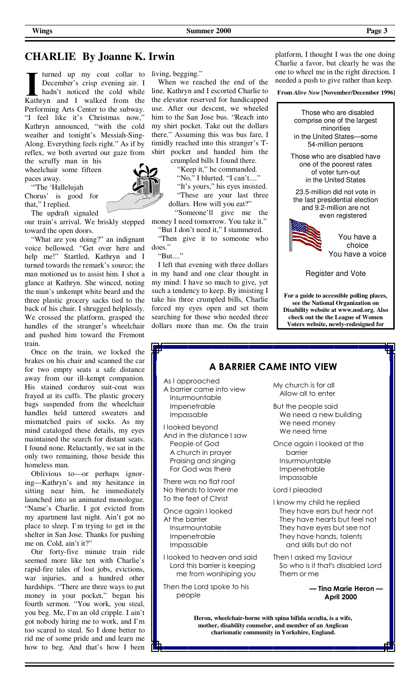# **CHARLIE By Joanne K. Irwin**

turned up my coat collar to December's crisp evening air. I hadn't noticed the cold while Kathryn and I walked from the Performing Arts Center to the subway. "I feel like it's Christmas now," Kathryn announced, "with the cold weather and tonight's Messiah-Sing-Along. Everything feels right." As if by reflex, we both averted our gaze from

the scruffy man in his wheelchair some fifteen paces away.

 "'The 'Hallelujah Chorus' is good for that," I replied.

 The updraft signaled our train's arrival. We briskly stepped toward the open doors.

 "What are you doing?" an indignant voice bellowed. "Get over here and help me!" Startled, Kathryn and I turned towards the remark's source; the man motioned us to assist him. I shot a glance at Kathryn. She winced, noting the man's unkempt white beard and the three plastic grocery sacks tied to the back of his chair. I shrugged helplessly. We crossed the platform, grasped the handles of the stranger's wheelchair and pushed him toward the Fremont train.

 Once on the train, we locked the brakes on his chair and scanned the car for two empty seats a safe distance away from our ill-kempt companion. His stained corduroy suit-coat was frayed at its cuffs. The plastic grocery bags suspended from the wheelchair handles held tattered sweaters and mismatched pairs of socks. As my mind cataloged these details, my eyes maintained the search for distant seats. I found none. Reluctantly, we sat in the only two remaining, those beside this homeless man.

 Oblivious to—or perhaps ignoring—Kathryn's and my hesitance in sitting near him, he immediately launched into an animated monologue. "Name's Charlie. I got evicted from my apartment last night. Ain't got no place to sleep. I'm trying to get in the shelter in San Jose. Thanks for pushing me on. Cold, ain't it?"

 Our forty-five minute train ride seemed more like ten with Charlie's rapid-fire tales of lost jobs, evictions, war injuries, and a hundred other hardships. "There are three ways to put money in your pocket," began his fourth sermon. "You work, you steal, you beg. Me, I'm an old cripple. I ain't got nobody hiring me to work, and I'm too scared to steal. So I done better to rid me of some pride and and learn me how to beg. And that's how I been

living, begging."

 When we reached the end of the line, Kathryn and I escorted Charlie to the elevator reserved for handicapped use. After our descent, we wheeled him to the San Jose bus. "Reach into my shirt pocket. Take out the dollars there." Assuming this was bus fare, I timidly reached into this stranger's Tshirt pocket and handed him the

> crumpled bills I found there. "Keep it," he commanded.

"No," I blurted. "I can't...." "It's yours," his eyes insisted. "These are your last three dollars. How will you eat?"

 "Someone'll give me the money I need tomorrow. You take it."

 "But I don't need it," I stammered. "Then give it to someone who does."

"But...."

 I left that evening with three dollars in my hand and one clear thought in my mind: I have so much to give, yet such a tendency to keep. By insisting I take his three crumpled bills, Charlie forced my eyes open and set them searching for those who needed three dollars more than me. On the train platform, I thought I was the one doing Charlie a favor, but clearly he was the one to wheel me in the right direction. I needed a push to give rather than keep.

**From** *Alive Now* **[November/December 1996]**



**see the National Organization on Disability website at www.nod.org. Also check out the the League of Women Voters website, newly-redesigned for** 

## **A BARRIER CAME INTO VIEW**

As I approached A barrier came into view Insurmountable Impenetrable Impassable

I looked beyond And in the distance I saw People of God A church in prayer Praising and singing For God was there

There was no flat roof No friends to lower me To the feet of Christ

Once again I looked At the barrier Insurmountable Impenetrable Impassable

I looked to heaven and said Lord this barrier is keeping me from worshiping you

Then the Lord spoke to his people

My church is for all Allow all to enter

- But the people said We need a new building We need money We need time
- Once again I looked at the barrier Insurmountable Impenetrable Impassable

## Lord I pleaded

I know my child he replied They have ears but hear not They have hearts but feel not They have eyes but see not They have hands, talents and skills but do not

Then I asked my Saviour So who is it that's disabled Lord Them or me

> **— Tina Marie Heron — April 2000**

**Heron, wheelchair-borne with spina bifida occulta, is a wife, mother, disability counselor, and member of an Anglican charismatic community in Yorkshire, England.**